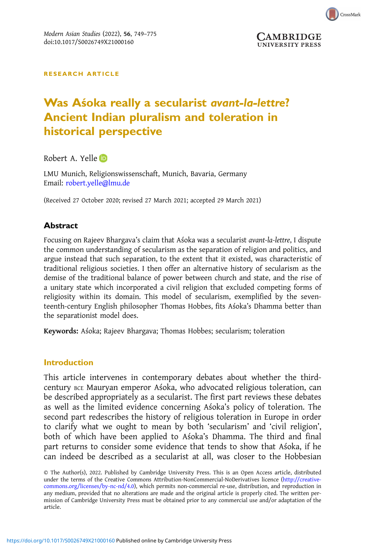

**UNIVERSITY PRESS** 

RESEARCH ARTICLE

# Was Aśoka really a secularist avant-la-lettre? Ancient Indian pluralism and toleration in historical perspective

Robert A. Yelle

LMU Munich, Religionswissenschaft, Munich, Bavaria, Germany Email: [robert.yelle@lmu.de](mailto:robert.yelle@lmu.de)

(Received 27 October 2020; revised 27 March 2021; accepted 29 March 2021)

## Abstract

Focusing on Rajeev Bhargava's claim that Aśoka was a secularist avant-la-lettre, I dispute the common understanding of secularism as the separation of religion and politics, and argue instead that such separation, to the extent that it existed, was characteristic of traditional religious societies. I then offer an alternative history of secularism as the demise of the traditional balance of power between church and state, and the rise of a unitary state which incorporated a civil religion that excluded competing forms of religiosity within its domain. This model of secularism, exemplified by the seventeenth-century English philosopher Thomas Hobbes, fits Aśoka's Dhamma better than the separationist model does.

Keywords: Aśoka; Rajeev Bhargava; Thomas Hobbes; secularism; toleration

### Introduction

This article intervenes in contemporary debates about whether the thirdcentury BCE Mauryan emperor Aśoka, who advocated religious toleration, can be described appropriately as a secularist. The first part reviews these debates as well as the limited evidence concerning Aśoka's policy of toleration. The second part redescribes the history of religious toleration in Europe in order to clarify what we ought to mean by both 'secularism' and 'civil religion', both of which have been applied to Aśoka's Dhamma. The third and final part returns to consider some evidence that tends to show that Aśoka, if he can indeed be described as a secularist at all, was closer to the Hobbesian

<sup>©</sup> The Author(s), 2022. Published by Cambridge University Press. This is an Open Access article, distributed under the terms of the Creative Commons Attribution-NonCommercial-NoDerivatives licence [\(http://creative](http://creativecommons.org/licenses/by-nc-nd/4.0)[commons.org/licenses/by-nc-nd/4.0](http://creativecommons.org/licenses/by-nc-nd/4.0)), which permits non-commercial re-use, distribution, and reproduction in any medium, provided that no alterations are made and the original article is properly cited. The written permission of Cambridge University Press must be obtained prior to any commercial use and/or adaptation of the article.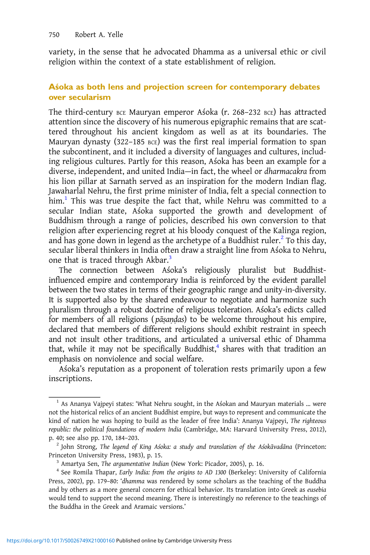variety, in the sense that he advocated Dhamma as a universal ethic or civil religion within the context of a state establishment of religion.

## Aśoka as both lens and projection screen for contemporary debates over secularism

The third-century BCE Mauryan emperor Aśoka (r. 268–232 BCE) has attracted attention since the discovery of his numerous epigraphic remains that are scattered throughout his ancient kingdom as well as at its boundaries. The Mauryan dynasty (322–185 BCE) was the first real imperial formation to span the subcontinent, and it included a diversity of languages and cultures, including religious cultures. Partly for this reason, Aśoka has been an example for a diverse, independent, and united India—in fact, the wheel or dharmacakra from his lion pillar at Sarnath served as an inspiration for the modern Indian flag. Jawaharlal Nehru, the first prime minister of India, felt a special connection to him.<sup>1</sup> This was true despite the fact that, while Nehru was committed to a secular Indian state, Aśoka supported the growth and development of Buddhism through a range of policies, described his own conversion to that religion after experiencing regret at his bloody conquest of the Kalinga region, and has gone down in legend as the archetype of a Buddhist ruler.<sup>2</sup> To this day, secular liberal thinkers in India often draw a straight line from Aśoka to Nehru, one that is traced through Akbar.<sup>3</sup>

The connection between Aśoka's religiously pluralist but Buddhistinfluenced empire and contemporary India is reinforced by the evident parallel between the two states in terms of their geographic range and unity-in-diversity. It is supported also by the shared endeavour to negotiate and harmonize such pluralism through a robust doctrine of religious toleration. Aśoka's edicts called for members of all religions ( pāṣaṇḍas) to be welcome throughout his empire, declared that members of different religions should exhibit restraint in speech and not insult other traditions, and articulated a universal ethic of Dhamma that, while it may not be specifically Buddhist, $4$  shares with that tradition an emphasis on nonviolence and social welfare.

Aśoka's reputation as a proponent of toleration rests primarily upon a few inscriptions.

 $<sup>1</sup>$  As Ananya Vajpeyi states: 'What Nehru sought, in the Asokan and Mauryan materials ... were</sup> not the historical relics of an ancient Buddhist empire, but ways to represent and communicate the kind of nation he was hoping to build as the leader of free India': Ananya Vajpeyi, The righteous republic: the political foundations of modern India (Cambridge, MA: Harvard University Press, 2012), p. 40; see also pp. 170, 184–203.<br><sup>2</sup> John Strong, *The legend of King Aśoka: a study and translation of the Aśokāvadāna (Princeton:* 

Princeton University Press, 1983), p. 15.<br><sup>3</sup> Amartya Sen, *The argumentative Indian* (New York: Picador, 2005), p. 16.<br><sup>4</sup> See Romila Thapar, *Early India: from the origins to AD 1300* (Berkeley: University of California

Press, 2002), pp. 179–80: 'dhamma was rendered by some scholars as the teaching of the Buddha and by others as a more general concern for ethical behavior. Its translation into Greek as eusebia would tend to support the second meaning. There is interestingly no reference to the teachings of the Buddha in the Greek and Aramaic versions.'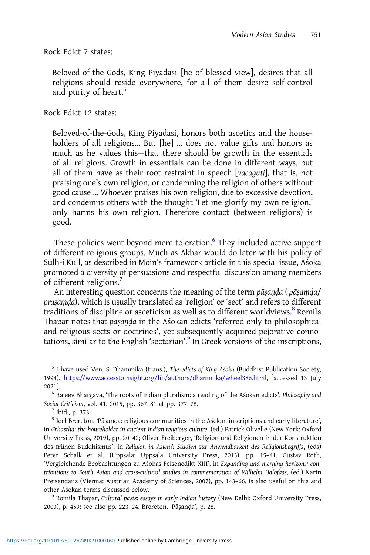Rock Edict 7 states:

Beloved-of-the-Gods, King Piyadasi [he of blessed view], desires that all religions should reside everywhere, for all of them desire self-control and purity of heart.<sup>5</sup>

Rock Edict 12 states:

Beloved-of-the-Gods, King Piyadasi, honors both ascetics and the householders of all religions… But [he] … does not value gifts and honors as much as he values this—that there should be growth in the essentials of all religions. Growth in essentials can be done in different ways, but all of them have as their root restraint in speech [vacaguti], that is, not praising one's own religion, or condemning the religion of others without good cause … Whoever praises his own religion, due to excessive devotion, and condemns others with the thought 'Let me glorify my own religion,' only harms his own religion. Therefore contact (between religions) is good.

These policies went beyond mere toleration.<sup>6</sup> They included active support of different religious groups. Much as Akbar would do later with his policy of Sulh-i Kull, as described in Moin's framework article in this special issue, Aśoka promoted a diversity of persuasions and respectful discussion among members of different religions.<sup>7</sup>

An interesting question concerns the meaning of the term pāsanda ( pāsamda/ praṣaṃḍa), which is usually translated as 'religion' or 'sect' and refers to different traditions of discipline or asceticism as well as to different worldviews.<sup>8</sup> Romila Thapar notes that pāṣaṇḍa in the Aśokan edicts 'referred only to philosophical and religious sects or doctrines', yet subsequently acquired pejorative connotations, similar to the English 'sectarian'. <sup>9</sup> In Greek versions of the inscriptions,

<sup>&</sup>lt;sup>5</sup> I have used Ven. S. Dhammika (trans.), The edicts of King Asoka (Buddhist Publication Society, 1994). [https://www.accesstoinsight.org/lib/authors/dhammika/wheel386.html,](https://www.accesstoinsight.org/lib/authors/dhammika/wheel386.html) [accessed 13 July

<sup>2021].&</sup>lt;br><sup>6</sup> Rajeev Bhargava, 'The roots of Indian pluralism: a reading of the Aśokan edicts', *Philosophy and* Social Criticism, vol. 41, 2015, pp. 367–81 at pp. 377–78. <sup>7</sup> Ibid., p. 373.

<sup>8</sup> Joel Brereton, 'Pāṣaṇḍa: religious communities in the Aśokan inscriptions and early literature', in Gṛhastha: the householder in ancient Indian religious culture, (ed.) Patrick Olivelle (New York: Oxford University Press, 2019), pp. 20–42; Oliver Freiberger, 'Religion und Religionen in der Konstruktion des frühen Buddhismus', in Religion in Asien?: Studien zur Anwendbarkeit des Religionsbegriffs, (eds) Peter Schalk et al. (Uppsala: Uppsala University Press, 2013), pp. 15–41. Gustav Roth, 'Vergleichende Beobachtungen zu Aśokas Felsenedikt XIII', in Expanding and merging horizons: contributions to South Asian and cross-cultural studies in commemoration of Wilhelm Halbfass, (ed.) Karin Preisendanz (Vienna: Austrian Academy of Sciences, 2007), pp. 143–66, is also useful on this and other Aśokan terms discussed below.<br><sup>9</sup> Romila Thapar, Cultural pasts: essays in early Indian history (New Delhi: Oxford University Press,

<sup>2000),</sup> p. 459; see also pp. 223–24. Brereton, 'Pāṣaṇḍa', p. 28.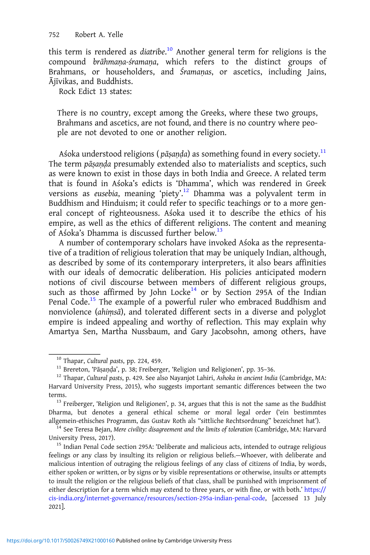this term is rendered as diatribe.<sup>10</sup> Another general term for religions is the compound brāhmaṇa-śramaṇa, which refers to the distinct groups of Brahmans, or householders, and Śramaṇas, or ascetics, including Jains, Ājīvikas, and Buddhists.

Rock Edict 13 states:

There is no country, except among the Greeks, where these two groups, Brahmans and ascetics, are not found, and there is no country where people are not devoted to one or another religion.

Aśoka understood religions ( $p\bar{a}$ sanda) as something found in every society.<sup>11</sup> The term pāsanda presumably extended also to materialists and sceptics, such as were known to exist in those days in both India and Greece. A related term that is found in Aśoka's edicts is 'Dhamma', which was rendered in Greek versions as eusebia, meaning 'piety'. <sup>12</sup> Dhamma was a polyvalent term in Buddhism and Hinduism; it could refer to specific teachings or to a more general concept of righteousness. Aśoka used it to describe the ethics of his empire, as well as the ethics of different religions. The content and meaning of Aśoka's Dhamma is discussed further below.<sup>13</sup>

A number of contemporary scholars have invoked Aśoka as the representative of a tradition of religious toleration that may be uniquely Indian, although, as described by some of its contemporary interpreters, it also bears affinities with our ideals of democratic deliberation. His policies anticipated modern notions of civil discourse between members of different religious groups, such as those affirmed by John Locke<sup>14</sup> or by Section 295A of the Indian Penal Code.<sup>15</sup> The example of a powerful ruler who embraced Buddhism and nonviolence (ahiṃsā), and tolerated different sects in a diverse and polyglot empire is indeed appealing and worthy of reflection. This may explain why Amartya Sen, Martha Nussbaum, and Gary Jacobsohn, among others, have

Dharma, but denotes a general ethical scheme or moral legal order ('ein bestimmtes allgemein-ethisches Programm, das Gustav Roth als "sittliche Rechtsordnung" bezeichnet hat'). <sup>14</sup> See Teresa Bejan, Mere civility: disagreement and the limits of toleration (Cambridge, MA: Harvard

University Press, 2017). <sup>15</sup> Indian Penal Code section 295A: 'Deliberate and malicious acts, intended to outrage religious

feelings or any class by insulting its religion or religious beliefs.—Whoever, with deliberate and malicious intention of outraging the religious feelings of any class of citizens of India, by words, either spoken or written, or by signs or by visible representations or otherwise, insults or attempts to insult the religion or the religious beliefs of that class, shall be punished with imprisonment of either description for a term which may extend to three years, or with fine, or with both.' [https://](https://cis-india.org/internet-governance/resources/section-295a-indian-penal-code) [cis-india.org/internet-governance/resources/section-295a-indian-penal-code,](https://cis-india.org/internet-governance/resources/section-295a-indian-penal-code) [accessed 13 July 2021].

<sup>&</sup>lt;sup>10</sup> Thapar, Cultural pasts, pp. 224, 459.<br><sup>11</sup> Brereton, 'Pāṣaṇḍa', p. 38; Freiberger, 'Religion und Religionen', pp. 35–36.<br><sup>12</sup> Thapar, Cultural pasts, p. 429. See also Nayanjot Lahiri, As*hoka in ancient India* (Cambr Harvard University Press, 2015), who suggests important semantic differences between the two terms.<br><sup>13</sup> Freiberger, 'Religion und Religionen', p. 34, argues that this is not the same as the Buddhist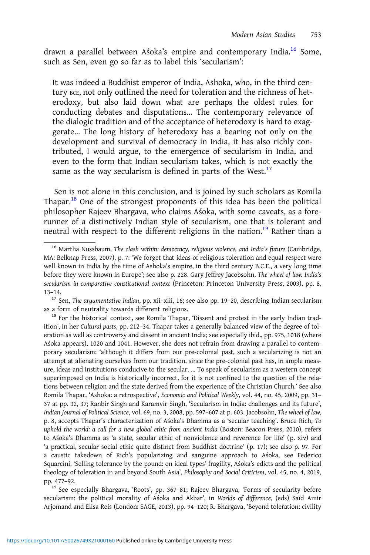drawn a parallel between Asoka's empire and contemporary India.<sup>16</sup> Some, such as Sen, even go so far as to label this 'secularism':

It was indeed a Buddhist emperor of India, Ashoka, who, in the third century BCE, not only outlined the need for toleration and the richness of heterodoxy, but also laid down what are perhaps the oldest rules for conducting debates and disputations… The contemporary relevance of the dialogic tradition and of the acceptance of heterodoxy is hard to exaggerate… The long history of heterodoxy has a bearing not only on the development and survival of democracy in India, it has also richly contributed, I would argue, to the emergence of secularism in India, and even to the form that Indian secularism takes, which is not exactly the same as the way secularism is defined in parts of the West. $17$ 

Sen is not alone in this conclusion, and is joined by such scholars as Romila Thapar.<sup>18</sup> One of the strongest proponents of this idea has been the political philosopher Rajeev Bhargava, who claims Aśoka, with some caveats, as a forerunner of a distinctively Indian style of secularism, one that is tolerant and neutral with respect to the different religions in the nation.<sup>19</sup> Rather than a

secularism: the political morality of Aśoka and Akbar', in Worlds of difference, (eds) Saïd Amir Arjomand and Elisa Reis (London: SAGE, 2013), pp. 94–120; R. Bhargava, 'Beyond toleration: civility

 $16$  Martha Nussbaum, The clash within: democracy, religious violence, and India's future (Cambridge, MA: Belknap Press, 2007), p. 7: 'We forget that ideas of religious toleration and equal respect were well known in India by the time of Ashoka's empire, in the third century B.C.E., a very long time before they were known in Europe'; see also p. 228. Gary Jeffrey Jacobsohn, The wheel of law: India's secularism in comparative constitutional context (Princeton: Princeton University Press, 2003), pp. 8, 13–14.

 $17$  Sen, The argumentative Indian, pp. xii–xiii, 16; see also pp. 19–20, describing Indian secularism as a form of neutrality towards different religions.<br><sup>18</sup> For the historical context, see Romila Thapar, 'Dissent and protest in the early Indian trad-

ition', in her Cultural pasts, pp. 212–34. Thapar takes a generally balanced view of the degree of toleration as well as controversy and dissent in ancient India; see especially ibid., pp. 975, 1018 (where Aśoka appears), 1020 and 1041. However, she does not refrain from drawing a parallel to contemporary secularism: 'although it differs from our pre-colonial past, such a secularizing is not an attempt at alienating ourselves from our tradition, since the pre-colonial past has, in ample measure, ideas and institutions conducive to the secular. … To speak of secularism as a western concept superimposed on India is historically incorrect, for it is not confined to the question of the relations between religion and the state derived from the experience of the Christian Church.' See also Romila Thapar, 'Ashoka: a retrospective', Economic and Political Weekly, vol. 44, no. 45, 2009, pp. 31– 37 at pp. 32, 37; Ranbir Singh and Karamvir Singh, 'Secularism in India: challenges and its future', Indian Journal of Political Science, vol. 69, no. 3, 2008, pp. 597–607 at p. 603. Jacobsohn, The wheel of law, p. 8, accepts Thapar's characterization of Aśoka's Dhamma as a 'secular teaching'. Bruce Rich, To uphold the world: a call for a new global ethic from ancient India (Boston: Beacon Press, 2010), refers to Aśoka's Dhamma as 'a state, secular ethic of nonviolence and reverence for life' (p. xiv) and 'a practical, secular social ethic quite distinct from Buddhist doctrine' (p. 17); see also p. 97. For a caustic takedown of Rich's popularizing and sanguine approach to Aśoka, see Federico Squarcini, 'Selling tolerance by the pound: on ideal types' fragility, Aśoka's edicts and the political theology of toleration in and beyond South Asia', Philosophy and Social Criticism, vol. 45, no. 4, 2019, pp. 477–92.<br><sup>19</sup> See especially Bhargava, 'Roots', pp. 367–81; Rajeev Bhargava, 'Forms of secularity before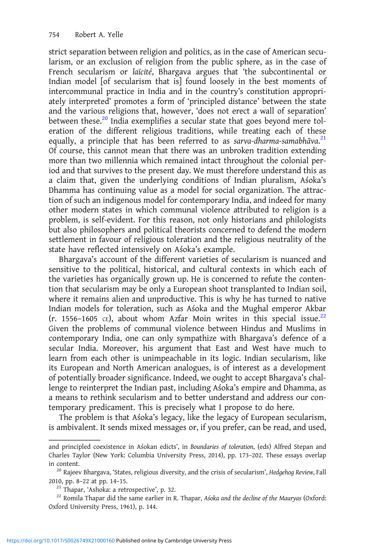strict separation between religion and politics, as in the case of American secularism, or an exclusion of religion from the public sphere, as in the case of French secularism or laïcité, Bhargava argues that 'the subcontinental or Indian model [of secularism that is] found loosely in the best moments of intercommunal practice in India and in the country's constitution appropriately interpreted' promotes a form of 'principled distance' between the state and the various religions that, however, 'does not erect a wall of separation' between these.<sup>20</sup> India exemplifies a secular state that goes beyond mere toleration of the different religious traditions, while treating each of these equally, a principle that has been referred to as sarva-dharma-samabhāva.<sup>21</sup> Of course, this cannot mean that there was an unbroken tradition extending more than two millennia which remained intact throughout the colonial period and that survives to the present day. We must therefore understand this as a claim that, given the underlying conditions of Indian pluralism, Aśoka's Dhamma has continuing value as a model for social organization. The attraction of such an indigenous model for contemporary India, and indeed for many other modern states in which communal violence attributed to religion is a problem, is self-evident. For this reason, not only historians and philologists but also philosophers and political theorists concerned to defend the modern settlement in favour of religious toleration and the religious neutrality of the state have reflected intensively on Aśoka's example.

Bhargava's account of the different varieties of secularism is nuanced and sensitive to the political, historical, and cultural contexts in which each of the varieties has organically grown up. He is concerned to refute the contention that secularism may be only a European shoot transplanted to Indian soil, where it remains alien and unproductive. This is why he has turned to native Indian models for toleration, such as Aśoka and the Mughal emperor Akbar (r. 1556–1605 cE), about whom Azfar Moin writes in this special issue.<sup>22</sup> Given the problems of communal violence between Hindus and Muslims in contemporary India, one can only sympathize with Bhargava's defence of a secular India. Moreover, his argument that East and West have much to learn from each other is unimpeachable in its logic. Indian secularism, like its European and North American analogues, is of interest as a development of potentially broader significance. Indeed, we ought to accept Bhargava's challenge to reinterpret the Indian past, including Aśoka's empire and Dhamma, as a means to rethink secularism and to better understand and address our contemporary predicament. This is precisely what I propose to do here.

The problem is that Aśoka's legacy, like the legacy of European secularism, is ambivalent. It sends mixed messages or, if you prefer, can be read, and used,

and principled coexistence in Aśokan edicts', in Boundaries of toleration, (eds) Alfred Stepan and Charles Taylor (New York: Columbia University Press, 2014), pp. 173–202. These essays overlap in content. 20 Rajeev Bhargava, 'States, religious diversity, and the crisis of secularism', Hedgehog Review, Fall

<sup>2010,</sup> pp. 8–22 at pp. 14–15.<br><sup>21</sup> Thapar, 'Ashoka: a retrospective', p. 32. 22 Romila Thapar did the same earlier in R. Thapar, Asoka and the decline of the Mauryas (Oxford:

Oxford University Press, 1961), p. 144.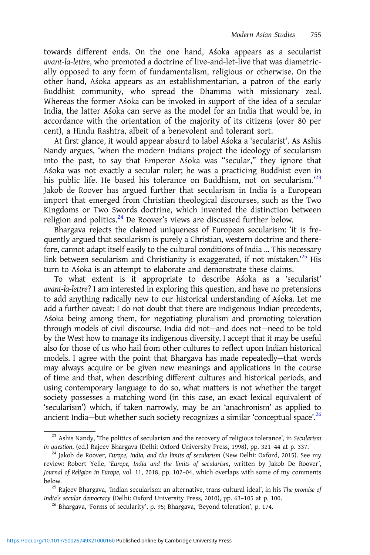towards different ends. On the one hand, Aśoka appears as a secularist avant-la-lettre, who promoted a doctrine of live-and-let-live that was diametrically opposed to any form of fundamentalism, religious or otherwise. On the other hand, Aśoka appears as an establishmentarian, a patron of the early Buddhist community, who spread the Dhamma with missionary zeal. Whereas the former Aśoka can be invoked in support of the idea of a secular India, the latter Aśoka can serve as the model for an India that would be, in accordance with the orientation of the majority of its citizens (over 80 per cent), a Hindu Rashtra, albeit of a benevolent and tolerant sort.

At first glance, it would appear absurd to label Aśoka a 'secularist'. As Ashis Nandy argues, 'when the modern Indians project the ideology of secularism into the past, to say that Emperor Aśoka was "secular," they ignore that Aśoka was not exactly a secular ruler; he was a practicing Buddhist even in his public life. He based his tolerance on Buddhism, not on secularism.'<sup>23</sup> Jakob de Roover has argued further that secularism in India is a European import that emerged from Christian theological discourses, such as the Two Kingdoms or Two Swords doctrine, which invented the distinction between religion and politics.<sup>24</sup> De Roover's views are discussed further below.

Bhargava rejects the claimed uniqueness of European secularism: 'it is frequently argued that secularism is purely a Christian, western doctrine and therefore, cannot adapt itself easily to the cultural conditions of India … This necessary link between secularism and Christianity is exaggerated, if not mistaken.<sup>25</sup> His turn to Aśoka is an attempt to elaborate and demonstrate these claims.

To what extent is it appropriate to describe Aśoka as a 'secularist' avant-la-lettre? I am interested in exploring this question, and have no pretensions to add anything radically new to our historical understanding of Aśoka. Let me add a further caveat: I do not doubt that there are indigenous Indian precedents, Aśoka being among them, for negotiating pluralism and promoting toleration through models of civil discourse. India did not—and does not—need to be told by the West how to manage its indigenous diversity. I accept that it may be useful also for those of us who hail from other cultures to reflect upon Indian historical models. I agree with the point that Bhargava has made repeatedly—that words may always acquire or be given new meanings and applications in the course of time and that, when describing different cultures and historical periods, and using contemporary language to do so, what matters is not whether the target society possesses a matching word (in this case, an exact lexical equivalent of 'secularism') which, if taken narrowly, may be an 'anachronism' as applied to ancient India-but whether such society recognizes a similar 'conceptual space'.<sup>26</sup>

<sup>&</sup>lt;sup>23</sup> Ashis Nandy, 'The politics of secularism and the recovery of religious tolerance', in Secularism in question, (ed.) Rajeev Bhargava (Delhi: Oxford University Press, 1998), pp. 321–44 at p. 337. <sup>24</sup> Jakob de Roover, *Europe, India, and the limits of secularism* (New Delhi: Oxford, 2015). See my

review: Robert Yelle, 'Europe, India and the limits of secularism, written by Jakob De Roover', Journal of Religion in Europe, vol. 11, 2018, pp. 102–04, which overlaps with some of my comments below.<br><sup>25</sup> Rajeev Bhargava, 'Indian secularism: an alternative, trans-cultural ideal', in his *The promise of* 

India's secular democracy (Delhi: Oxford University Press, 2010), pp. 63–105 at p. 100. <sup>26</sup> Bhargava, 'Forms of secularity', p. 95; Bhargava, 'Beyond toleration', p. 174.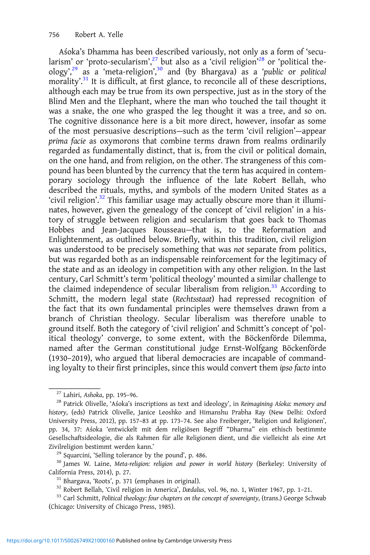Aśoka's Dhamma has been described variously, not only as a form of 'secularism' or 'proto-secularism', $^{27}$  but also as a 'civil religion' $^{28}$  or 'political theology',<sup>29</sup> as a 'meta-religion',<sup>30</sup> and (by Bhargava) as a 'public or political morality'. <sup>31</sup> It is difficult, at first glance, to reconcile all of these descriptions, although each may be true from its own perspective, just as in the story of the Blind Men and the Elephant, where the man who touched the tail thought it was a snake, the one who grasped the leg thought it was a tree, and so on. The cognitive dissonance here is a bit more direct, however, insofar as some of the most persuasive descriptions—such as the term 'civil religion'—appear prima facie as oxymorons that combine terms drawn from realms ordinarily regarded as fundamentally distinct, that is, from the civil or political domain, on the one hand, and from religion, on the other. The strangeness of this compound has been blunted by the currency that the term has acquired in contemporary sociology through the influence of the late Robert Bellah, who described the rituals, myths, and symbols of the modern United States as a 'civil religion'. <sup>32</sup> This familiar usage may actually obscure more than it illuminates, however, given the genealogy of the concept of 'civil religion' in a history of struggle between religion and secularism that goes back to Thomas Hobbes and Jean-Jacques Rousseau—that is, to the Reformation and Enlightenment, as outlined below. Briefly, within this tradition, civil religion was understood to be precisely something that was not separate from politics, but was regarded both as an indispensable reinforcement for the legitimacy of the state and as an ideology in competition with any other religion. In the last century, Carl Schmitt's term 'political theology' mounted a similar challenge to the claimed independence of secular liberalism from religion.<sup>33</sup> According to Schmitt, the modern legal state (Rechtsstaat) had repressed recognition of the fact that its own fundamental principles were themselves drawn from a branch of Christian theology. Secular liberalism was therefore unable to ground itself. Both the category of 'civil religion' and Schmitt's concept of 'political theology' converge, to some extent, with the Böckenförde Dilemma, named after the German constitutional judge Ernst-Wolfgang Böckenförde (1930–2019), who argued that liberal democracies are incapable of commanding loyalty to their first principles, since this would convert them ipso facto into

<sup>&</sup>lt;sup>27</sup> Lahiri, Ashoka, pp. 195-96.<br><sup>28</sup> Patrick Olivelle, 'Aśoka's inscriptions as text and ideology', in Reimagining Aśoka: memory and history, (eds) Patrick Olivelle, Janice Leoshko and Himanshu Prabha Ray (New Delhi: Oxford University Press, 2012), pp. 157–83 at pp. 173–74. See also Freiberger, 'Religion und Religionen', pp. 34, 37: Aśoka 'entwickelt mit dem religiösen Begriff "Dharma" ein ethisch bestimmte Gesellschaftsideologie, die als Rahmen für alle Religionen dient, und die vielleicht als eine Art Zivilreligion bestimmt werden kann.'<br><sup>29</sup> Squarcini, 'Selling tolerance by the pound', p. 486.<br><sup>30</sup> James W. Laine, *Meta-religion: religion and power in world history* (Berkeley: University of

California Press, 2014), p. 27.<br><sup>31</sup> Bhargava, 'Roots', p. 371 (emphases in original).<br><sup>32</sup> Robert Bellah, 'Civil religion in America', *Dædalus*, vol. 96, no. 1, Winter 1967, pp. 1–21.<br><sup>33</sup> Carl Schmitt, *Political theolo* 

<sup>(</sup>Chicago: University of Chicago Press, 1985).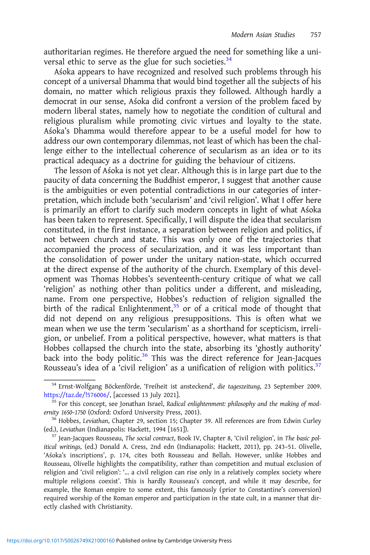authoritarian regimes. He therefore argued the need for something like a universal ethic to serve as the glue for such societies. $34$ 

Aśoka appears to have recognized and resolved such problems through his concept of a universal Dhamma that would bind together all the subjects of his domain, no matter which religious praxis they followed. Although hardly a democrat in our sense, Aśoka did confront a version of the problem faced by modern liberal states, namely how to negotiate the condition of cultural and religious pluralism while promoting civic virtues and loyalty to the state. Aśoka's Dhamma would therefore appear to be a useful model for how to address our own contemporary dilemmas, not least of which has been the challenge either to the intellectual coherence of secularism as an idea or to its practical adequacy as a doctrine for guiding the behaviour of citizens.

The lesson of Aśoka is not yet clear. Although this is in large part due to the paucity of data concerning the Buddhist emperor, I suggest that another cause is the ambiguities or even potential contradictions in our categories of interpretation, which include both 'secularism' and 'civil religion'. What I offer here is primarily an effort to clarify such modern concepts in light of what Aśoka has been taken to represent. Specifically, I will dispute the idea that secularism constituted, in the first instance, a separation between religion and politics, if not between church and state. This was only one of the trajectories that accompanied the process of secularization, and it was less important than the consolidation of power under the unitary nation-state, which occurred at the direct expense of the authority of the church. Exemplary of this development was Thomas Hobbes's seventeenth-century critique of what we call 'religion' as nothing other than politics under a different, and misleading, name. From one perspective, Hobbes's reduction of religion signalled the birth of the radical Enlightenment, $35$  or of a critical mode of thought that did not depend on any religious presuppositions. This is often what we mean when we use the term 'secularism' as a shorthand for scepticism, irreligion, or unbelief. From a political perspective, however, what matters is that Hobbes collapsed the church into the state, absorbing its 'ghostly authority' back into the body politic.<sup>36</sup> This was the direct reference for Jean-Jacques Rousseau's idea of a 'civil religion' as a unification of religion with politics.<sup>37</sup>

<sup>&</sup>lt;sup>34</sup> Ernst-Wolfgang Böckenförde, 'Freiheit ist ansteckend', die tageszeitung, 23 September 2009.

[https://taz.de/!576006/,](https://taz.de/!576006/) [accessed 13 July 2021].<br><sup>35</sup> For this concept, see Jonathan Israel, Radical enlightenment: philosophy and the making of mod-<br>ernity 1650-1750 (Oxford: Oxford University Press, 2001).

<sup>&</sup>lt;sup>36</sup> Hobbes, *Leviathan*, Chapter 29, section 15; Chapter 39. All references are from Edwin Curley (ed.), *Leviathan* (Indianapolis: Hackett, 1994 [1651]).

<sup>&</sup>lt;sup>37</sup> Jean-Jacques Rousseau, The social contract, Book IV, Chapter 8, 'Civil religion', in The basic political writings, (ed.) Donald A. Cress, 2nd edn (Indianapolis: Hackett, 2011), pp. 243–51. Olivelle, 'Aśoka's inscriptions', p. 174, cites both Rousseau and Bellah. However, unlike Hobbes and Rousseau, Olivelle highlights the compatibility, rather than competition and mutual exclusion of religion and 'civil religion': '… a civil religion can rise only in a relatively complex society where multiple religions coexist'. This is hardly Rousseau's concept, and while it may describe, for example, the Roman empire to some extent, this famously (prior to Constantine's conversion) required worship of the Roman emperor and participation in the state cult, in a manner that directly clashed with Christianity.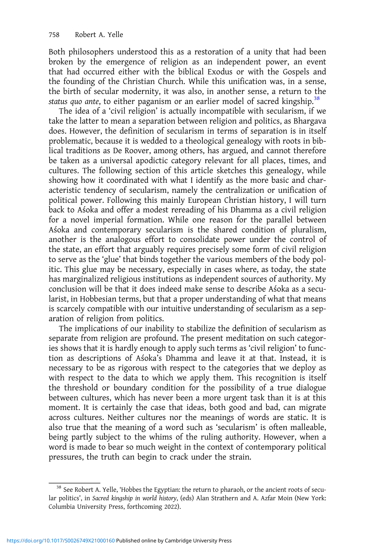Both philosophers understood this as a restoration of a unity that had been broken by the emergence of religion as an independent power, an event that had occurred either with the biblical Exodus or with the Gospels and the founding of the Christian Church. While this unification was, in a sense, the birth of secular modernity, it was also, in another sense, a return to the status quo ante, to either paganism or an earlier model of sacred kingship.<sup>38</sup>

The idea of a 'civil religion' is actually incompatible with secularism, if we take the latter to mean a separation between religion and politics, as Bhargava does. However, the definition of secularism in terms of separation is in itself problematic, because it is wedded to a theological genealogy with roots in biblical traditions as De Roover, among others, has argued, and cannot therefore be taken as a universal apodictic category relevant for all places, times, and cultures. The following section of this article sketches this genealogy, while showing how it coordinated with what I identify as the more basic and characteristic tendency of secularism, namely the centralization or unification of political power. Following this mainly European Christian history, I will turn back to Aśoka and offer a modest rereading of his Dhamma as a civil religion for a novel imperial formation. While one reason for the parallel between Aśoka and contemporary secularism is the shared condition of pluralism, another is the analogous effort to consolidate power under the control of the state, an effort that arguably requires precisely some form of civil religion to serve as the 'glue' that binds together the various members of the body politic. This glue may be necessary, especially in cases where, as today, the state has marginalized religious institutions as independent sources of authority. My conclusion will be that it does indeed make sense to describe Aśoka as a secularist, in Hobbesian terms, but that a proper understanding of what that means is scarcely compatible with our intuitive understanding of secularism as a separation of religion from politics.

The implications of our inability to stabilize the definition of secularism as separate from religion are profound. The present meditation on such categories shows that it is hardly enough to apply such terms as 'civil religion' to function as descriptions of Aśoka's Dhamma and leave it at that. Instead, it is necessary to be as rigorous with respect to the categories that we deploy as with respect to the data to which we apply them. This recognition is itself the threshold or boundary condition for the possibility of a true dialogue between cultures, which has never been a more urgent task than it is at this moment. It is certainly the case that ideas, both good and bad, can migrate across cultures. Neither cultures nor the meanings of words are static. It is also true that the meaning of a word such as 'secularism' is often malleable, being partly subject to the whims of the ruling authority. However, when a word is made to bear so much weight in the context of contemporary political pressures, the truth can begin to crack under the strain.

<sup>&</sup>lt;sup>38</sup> See Robert A. Yelle, 'Hobbes the Egyptian: the return to pharaoh, or the ancient roots of secular politics', in Sacred kingship in world history, (eds) Alan Strathern and A. Azfar Moin (New York: Columbia University Press, forthcoming 2022).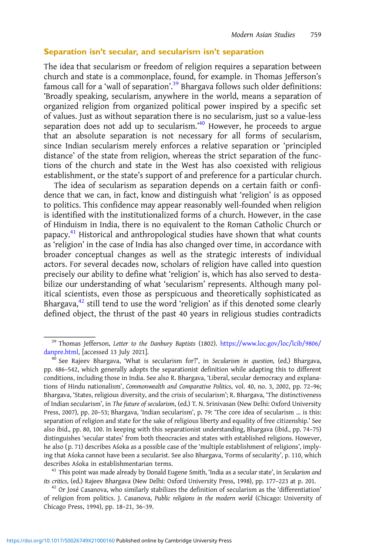### Separation isn't secular, and secularism isn't separation

The idea that secularism or freedom of religion requires a separation between church and state is a commonplace, found, for example. in Thomas Jefferson's famous call for a 'wall of separation'. <sup>39</sup> Bhargava follows such older definitions: 'Broadly speaking, secularism, anywhere in the world, means a separation of organized religion from organized political power inspired by a specific set of values. Just as without separation there is no secularism, just so a value-less separation does not add up to secularism.'<sup>40</sup> However, he proceeds to argue that an absolute separation is not necessary for all forms of secularism, since Indian secularism merely enforces a relative separation or 'principled distance' of the state from religion, whereas the strict separation of the functions of the church and state in the West has also coexisted with religious establishment, or the state's support of and preference for a particular church.

The idea of secularism as separation depends on a certain faith or confidence that we can, in fact, know and distinguish what 'religion' is as opposed to politics. This confidence may appear reasonably well-founded when religion is identified with the institutionalized forms of a church. However, in the case of Hinduism in India, there is no equivalent to the Roman Catholic Church or papacy.<sup>41</sup> Historical and anthropological studies have shown that what counts as 'religion' in the case of India has also changed over time, in accordance with broader conceptual changes as well as the strategic interests of individual actors. For several decades now, scholars of religion have called into question precisely our ability to define what 'religion' is, which has also served to destabilize our understanding of what 'secularism' represents. Although many political scientists, even those as perspicuous and theoretically sophisticated as Bhargava, $42$  still tend to use the word 'religion' as if this denoted some clearly defined object, the thrust of the past 40 years in religious studies contradicts

<sup>&</sup>lt;sup>39</sup> Thomas Jefferson, Letter to the Danbury Baptists (1802). [https://www.loc.gov/loc/lcib/9806/](https://www.loc.gov/loc/lcib/9806/danpre.html)<br>danpre.html, [accessed 13 July 2021].

 $40$  See Rajeev Bhargava, 'What is secularism for?', in Secularism in question, (ed.) Bhargava, pp. 486–542, which generally adopts the separationist definition while adapting this to different conditions, including those in India. See also R. Bhargava, 'Liberal, secular democracy and explanations of Hindu nationalism', Commonwealth and Comparative Politics, vol. 40, no. 3, 2002, pp. 72–96; Bhargava, 'States, religious diversity, and the crisis of secularism'; R. Bhargava, 'The distinctiveness of Indian secularism', in The future of secularism, (ed.) T. N. Srinivasan (New Delhi: Oxford University Press, 2007), pp. 20–53; Bhargava, 'Indian secularism', p. 79: 'The core idea of secularism … is this: separation of religion and state for the sake of religious liberty and equality of free citizenship.' See also ibid., pp. 80, 100. In keeping with this separationist understanding, Bhargava (ibid., pp. 74–75) distinguishes 'secular states' from both theocracies and states with established religions. However, he also (p. 71) describes Aśoka as a possible case of the 'multiple establishment of religions', implying that Aśoka cannot have been a secularist. See also Bhargava, 'Forms of secularity', p. 110, which describes Aśoka in establishmentarian terms.<br><sup>41</sup> This point was made already by Donald Eugene Smith, 'India as a secular state', in *Secularism and* 

its critics, (ed.) Rajeev Bhargava (New Delhi: Oxford University Press, 1998), pp. 177–223 at p. 201.<br><sup>42</sup> Or José Casanova, who similarly stabilizes the definition of secularism as the 'differentiation'

of religion from politics. J. Casanova, Public religions in the modern world (Chicago: University of Chicago Press, 1994), pp. 18–21, 36–39.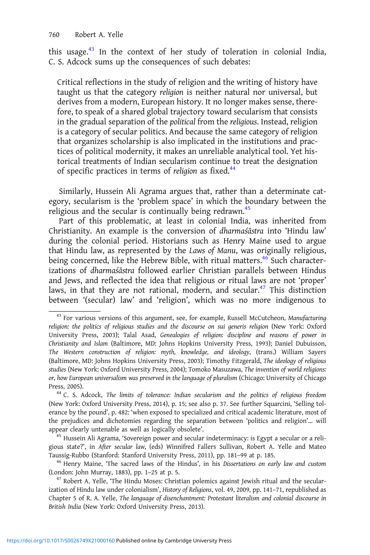this usage.<sup>43</sup> In the context of her study of toleration in colonial India, C. S. Adcock sums up the consequences of such debates:

Critical reflections in the study of religion and the writing of history have taught us that the category religion is neither natural nor universal, but derives from a modern, European history. It no longer makes sense, therefore, to speak of a shared global trajectory toward secularism that consists in the gradual separation of the political from the religious. Instead, religion is a category of secular politics. And because the same category of religion that organizes scholarship is also implicated in the institutions and practices of political modernity, it makes an unreliable analytical tool. Yet historical treatments of Indian secularism continue to treat the designation of specific practices in terms of religion as fixed.<sup>44</sup>

Similarly, Hussein Ali Agrama argues that, rather than a determinate category, secularism is the 'problem space' in which the boundary between the religious and the secular is continually being redrawn.<sup>45</sup>

Part of this problematic, at least in colonial India, was inherited from Christianity. An example is the conversion of dharmaśāstra into 'Hindu law' during the colonial period. Historians such as Henry Maine used to argue that Hindu law, as represented by the Laws of Manu, was originally religious, being concerned, like the Hebrew Bible, with ritual matters.<sup>46</sup> Such characterizations of dharmaśāstra followed earlier Christian parallels between Hindus and Jews, and reflected the idea that religious or ritual laws are not 'proper' laws, in that they are not rational, modern, and secular.<sup>47</sup> This distinction between '(secular) law' and 'religion', which was no more indigenous to

gious state?', in After secular law, (eds) Winnifred Fallers Sullivan, Robert A. Yelle and Mateo Taussig-Rubbo (Stanford: Stanford University Press, 2011), pp. 181–99 at p. 185. <sup>46</sup> Henry Maine, 'The sacred laws of the Hindus', in his Dissertations on early law and custom

(London: John Murray, 1883), pp. 1–25 at p. 5.<br> $^{47}$  Robert A. Yelle, 'The Hindu Moses: Christian polemics against Jewish ritual and the secular-

ization of Hindu law under colonialism', History of Religions, vol. 49, 2009, pp. 141–71, republished as Chapter 5 of R. A. Yelle, The language of disenchantment: Protestant literalism and colonial discourse in British India (New York: Oxford University Press, 2013).

<sup>&</sup>lt;sup>43</sup> For various versions of this argument, see, for example, Russell McCutcheon, Manufacturing religion: the politics of religious studies and the discourse on sui generis religion (New York: Oxford University Press, 2003); Talal Asad, Genealogies of religion: discipline and reasons of power in Christianity and Islam (Baltimore, MD: Johns Hopkins University Press, 1993); Daniel Dubuisson, The Western construction of religion: myth, knowledge, and ideology, (trans.) William Sayers (Baltimore, MD: Johns Hopkins University Press, 2003); Timothy Fitzgerald, The ideology of religious studies (New York: Oxford University Press, 2004); Tomoko Masuzawa, The invention of world religions: or, how European universalism was preserved in the language of pluralism (Chicago: University of Chicago Press, 2005).<br><sup>44</sup> C. S. Adcock, The limits of tolerance: Indian secularism and the politics of religious freedom

<sup>(</sup>New York: Oxford University Press, 2014), p. 15; see also p. 37. See further Squarcini, 'Selling tolerance by the pound', p. 482: 'when exposed to specialized and critical academic literature, most of the prejudices and dichotomies regarding the separation between 'politics and religion'… will appear clearly untenable as well as logically obsolete'.<br><sup>45</sup> Hussein Ali Agrama, 'Sovereign power and secular indeterminacy: is Egypt a secular or a reli-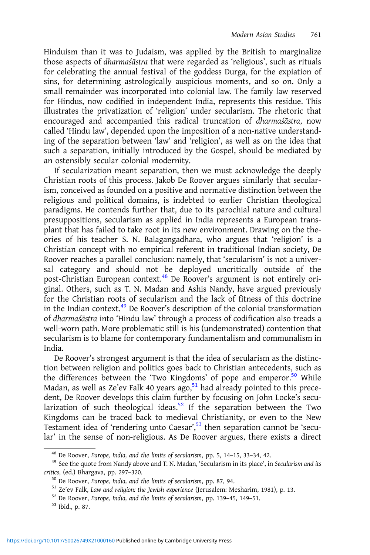Hinduism than it was to Judaism, was applied by the British to marginalize those aspects of dharmaśāstra that were regarded as 'religious', such as rituals for celebrating the annual festival of the goddess Durga, for the expiation of sins, for determining astrologically auspicious moments, and so on. Only a small remainder was incorporated into colonial law. The family law reserved for Hindus, now codified in independent India, represents this residue. This illustrates the privatization of 'religion' under secularism. The rhetoric that encouraged and accompanied this radical truncation of dharmaśāstra, now called 'Hindu law', depended upon the imposition of a non-native understanding of the separation between 'law' and 'religion', as well as on the idea that such a separation, initially introduced by the Gospel, should be mediated by an ostensibly secular colonial modernity.

If secularization meant separation, then we must acknowledge the deeply Christian roots of this process. Jakob De Roover argues similarly that secularism, conceived as founded on a positive and normative distinction between the religious and political domains, is indebted to earlier Christian theological paradigms. He contends further that, due to its parochial nature and cultural presuppositions, secularism as applied in India represents a European transplant that has failed to take root in its new environment. Drawing on the theories of his teacher S. N. Balagangadhara, who argues that 'religion' is a Christian concept with no empirical referent in traditional Indian society, De Roover reaches a parallel conclusion: namely, that 'secularism' is not a universal category and should not be deployed uncritically outside of the post-Christian European context.<sup>48</sup> De Roover's argument is not entirely original. Others, such as T. N. Madan and Ashis Nandy, have argued previously for the Christian roots of secularism and the lack of fitness of this doctrine in the Indian context.<sup>49</sup> De Roover's description of the colonial transformation of dharmaśāstra into 'Hindu law' through a process of codification also treads a well-worn path. More problematic still is his (undemonstrated) contention that secularism is to blame for contemporary fundamentalism and communalism in India.

De Roover's strongest argument is that the idea of secularism as the distinction between religion and politics goes back to Christian antecedents, such as the differences between the 'Two Kingdoms' of pope and emperor.<sup>50</sup> While Madan, as well as Ze'ev Falk 40 years ago,<sup>51</sup> had already pointed to this precedent, De Roover develops this claim further by focusing on John Locke's secularization of such theological ideas.<sup>52</sup> If the separation between the Two Kingdoms can be traced back to medieval Christianity, or even to the New Testament idea of 'rendering unto Caesar', <sup>53</sup> then separation cannot be 'secular' in the sense of non-religious. As De Roover argues, there exists a direct

<sup>&</sup>lt;sup>48</sup> De Roover, Europe, India, and the limits of secularism, pp. 5, 14–15, 33–34, 42.<br><sup>49</sup> See the quote from Nandy above and T. N. Madan, 'Secularism in its place', in Secularism and its critics, (ed.) Bhargava, pp. 297–320.<br><sup>50</sup> De Roover, Europe, India, and the limits of secularism, pp. 87, 94.<br><sup>51</sup> Ze'ev Falk, Law and religion: the Jewish experience (Jerusalem: Mesharim, 1981), p. 13.<br><sup>52</sup> De Roover, E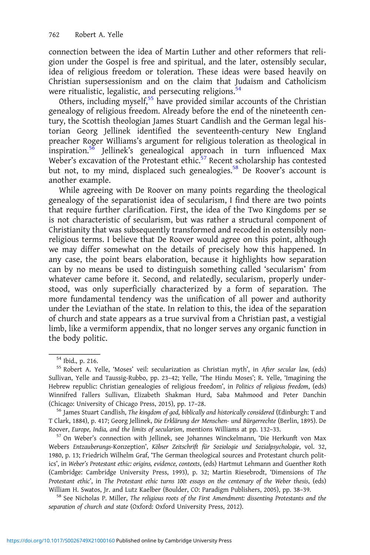connection between the idea of Martin Luther and other reformers that religion under the Gospel is free and spiritual, and the later, ostensibly secular, idea of religious freedom or toleration. These ideas were based heavily on Christian supersessionism and on the claim that Judaism and Catholicism were ritualistic, legalistic, and persecuting religions. $54$ 

Others, including myself,<sup>55</sup> have provided similar accounts of the Christian genealogy of religious freedom. Already before the end of the nineteenth century, the Scottish theologian James Stuart Candlish and the German legal historian Georg Jellinek identified the seventeenth-century New England preacher Roger Williams's argument for religious toleration as theological in inspiration.<sup>56</sup> Jellinek's genealogical approach in turn influenced Max Weber's excavation of the Protestant ethic.<sup>57</sup> Recent scholarship has contested but not, to my mind, displaced such genealogies.<sup>58</sup> De Roover's account is another example.

While agreeing with De Roover on many points regarding the theological genealogy of the separationist idea of secularism, I find there are two points that require further clarification. First, the idea of the Two Kingdoms per se is not characteristic of secularism, but was rather a structural component of Christianity that was subsequently transformed and recoded in ostensibly nonreligious terms. I believe that De Roover would agree on this point, although we may differ somewhat on the details of precisely how this happened. In any case, the point bears elaboration, because it highlights how separation can by no means be used to distinguish something called 'secularism' from whatever came before it. Second, and relatedly, secularism, properly understood, was only superficially characterized by a form of separation. The more fundamental tendency was the unification of all power and authority under the Leviathan of the state. In relation to this, the idea of the separation of church and state appears as a true survival from a Christian past, a vestigial limb, like a vermiform appendix, that no longer serves any organic function in the body politic.

T Clark, 1884), p. 417; Georg Jellinek, Die Erklärung der Menschen- und Bürgerrechte (Berlin, 1895). De Roover, Europe, India, and the limits of secularism, mentions Williams at pp. 132–33. <sup>57</sup> On Weber's connection with Jellinek, see Johannes Winckelmann, 'Die Herkunft von Max

Webers Entzauberungs-Konzeption', Kölner Zeitschrift für Soziologie und Sozialpsychologie, vol. 32, 1980, p. 13; Friedrich Wilhelm Graf, 'The German theological sources and Protestant church politics', in Weber's Protestant ethic: origins, evidence, contexts, (eds) Hartmut Lehmann and Guenther Roth (Cambridge: Cambridge University Press, 1993), p. 32; Martin Riesebrodt, 'Dimensions of The Protestant ethic', in The Protestant ethic turns 100: essays on the centenary of the Weber thesis, (eds) William H. Swatos, Jr. and Lutz Kaelber (Boulder, CO: Paradigm Publishers, 2005), pp. 38–39.<br><sup>58</sup> See Nicholas P. Miller, *The religious roots of the First Amendment: dissenting Protestants and the* 

separation of church and state (Oxford: Oxford University Press, 2012).

 $^{\rm 54}$ Ibid., p. 216.  $^{\rm 55}$  Robert A. Yelle, 'Moses' veil: secularization as Christian myth', in After secular law, (eds) Sullivan, Yelle and Taussig-Rubbo, pp. 23–42; Yelle, 'The Hindu Moses'; R. Yelle, 'Imagining the Hebrew republic: Christian genealogies of religious freedom', in Politics of religious freedom, (eds) Winnifred Fallers Sullivan, Elizabeth Shakman Hurd, Saba Mahmood and Peter Danchin (Chicago: University of Chicago Press, 2015), pp. 17-28.<br><sup>56</sup> James Stuart Candlish, *The kingdom of god, biblically and historically considered* (Edinburgh: T and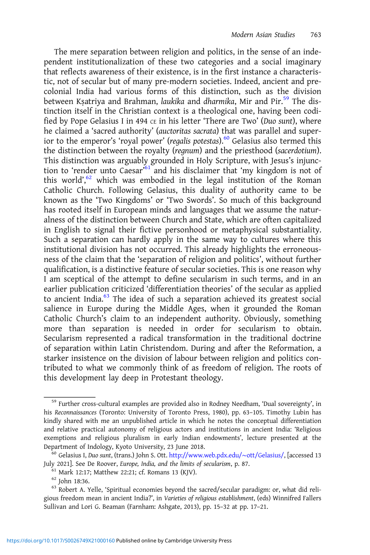The mere separation between religion and politics, in the sense of an independent institutionalization of these two categories and a social imaginary that reflects awareness of their existence, is in the first instance a characteristic, not of secular but of many pre-modern societies. Indeed, ancient and precolonial India had various forms of this distinction, such as the division between Kṣatriya and Brahman, laukika and dharmika, Mir and Pir.<sup>59</sup> The distinction itself in the Christian context is a theological one, having been codified by Pope Gelasius I in 494  $\text{ce}$  in his letter 'There are Two' (Duo sunt), where he claimed a 'sacred authority' (auctoritas sacrata) that was parallel and superior to the emperor's 'royal power' (regalis potestas). $60$  Gelasius also termed this the distinction between the royalty (regnum) and the priesthood (sacerdotium). This distinction was arguably grounded in Holy Scripture, with Jesus's injunction to 'render unto Caesar'<sup>61</sup> and his disclaimer that 'my kingdom is not of this world',<sup>62</sup> which was embodied in the legal institution of the Roman Catholic Church. Following Gelasius, this duality of authority came to be known as the 'Two Kingdoms' or 'Two Swords'. So much of this background has rooted itself in European minds and languages that we assume the naturalness of the distinction between Church and State, which are often capitalized in English to signal their fictive personhood or metaphysical substantiality. Such a separation can hardly apply in the same way to cultures where this institutional division has not occurred. This already highlights the erroneousness of the claim that the 'separation of religion and politics', without further qualification, is a distinctive feature of secular societies. This is one reason why I am sceptical of the attempt to define secularism in such terms, and in an earlier publication criticized 'differentiation theories' of the secular as applied to ancient India. $^{63}$  The idea of such a separation achieved its greatest social salience in Europe during the Middle Ages, when it grounded the Roman Catholic Church's claim to an independent authority. Obviously, something more than separation is needed in order for secularism to obtain. Secularism represented a radical transformation in the traditional doctrine of separation within Latin Christendom. During and after the Reformation, a starker insistence on the division of labour between religion and politics contributed to what we commonly think of as freedom of religion. The roots of this development lay deep in Protestant theology.

<sup>&</sup>lt;sup>59</sup> Further cross-cultural examples are provided also in Rodney Needham, 'Dual sovereignty', in his Reconnaissances (Toronto: University of Toronto Press, 1980), pp. 63–105. Timothy Lubin has kindly shared with me an unpublished article in which he notes the conceptual differentiation and relative practical autonomy of religious actors and institutions in ancient India: 'Religious exemptions and religious pluralism in early Indian endowments', lecture presented at the Department of Indology, Kyoto University, 23 June 2018.<br><sup>60</sup> Gelasius I, Duo sunt, (trans.) John S. Ott. [http://www.web.pdx.edu/](http://www.web.pdx.edu/~ott/Gelasius/)∼ott/Gelasius/, [accessed 13

July 2021]. See De Roover, *Europe, India, and the limits of secularism*, p. 87.<br><sup>61</sup> Mark 12:17; Matthew 22:21; cf. Romans 13 (KJV).<br><sup>62</sup> John 18:36.<br><sup>63</sup> Robert A. Yelle, 'Spiritual economies beyond the sacred/secular pa

gious freedom mean in ancient India?', in Varieties of religious establishment, (eds) Winnifred Fallers Sullivan and Lori G. Beaman (Farnham: Ashgate, 2013), pp. 15–32 at pp. 17–21.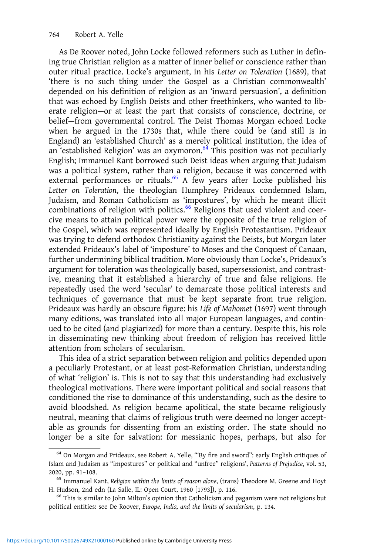As De Roover noted, John Locke followed reformers such as Luther in defining true Christian religion as a matter of inner belief or conscience rather than outer ritual practice. Locke's argument, in his Letter on Toleration (1689), that 'there is no such thing under the Gospel as a Christian commonwealth' depended on his definition of religion as an 'inward persuasion', a definition that was echoed by English Deists and other freethinkers, who wanted to liberate religion—or at least the part that consists of conscience, doctrine, or belief—from governmental control. The Deist Thomas Morgan echoed Locke when he argued in the 1730s that, while there could be (and still is in England) an 'established Church' as a merely political institution, the idea of an 'established Religion' was an oxymoron.<sup>64</sup> This position was not peculiarly English; Immanuel Kant borrowed such Deist ideas when arguing that Judaism was a political system, rather than a religion, because it was concerned with external performances or rituals.<sup>65</sup> A few years after Locke published his Letter on Toleration, the theologian Humphrey Prideaux condemned Islam, Judaism, and Roman Catholicism as 'impostures', by which he meant illicit combinations of religion with politics.<sup>66</sup> Religions that used violent and coercive means to attain political power were the opposite of the true religion of the Gospel, which was represented ideally by English Protestantism. Prideaux was trying to defend orthodox Christianity against the Deists, but Morgan later extended Prideaux's label of 'imposture' to Moses and the Conquest of Canaan, further undermining biblical tradition. More obviously than Locke's, Prideaux's argument for toleration was theologically based, supersessionist, and contrastive, meaning that it established a hierarchy of true and false religions. He repeatedly used the word 'secular' to demarcate those political interests and techniques of governance that must be kept separate from true religion. Prideaux was hardly an obscure figure: his Life of Mahomet (1697) went through many editions, was translated into all major European languages, and continued to be cited (and plagiarized) for more than a century. Despite this, his role in disseminating new thinking about freedom of religion has received little attention from scholars of secularism.

This idea of a strict separation between religion and politics depended upon a peculiarly Protestant, or at least post-Reformation Christian, understanding of what 'religion' is. This is not to say that this understanding had exclusively theological motivations. There were important political and social reasons that conditioned the rise to dominance of this understanding, such as the desire to avoid bloodshed. As religion became apolitical, the state became religiously neutral, meaning that claims of religious truth were deemed no longer acceptable as grounds for dissenting from an existing order. The state should no longer be a site for salvation: for messianic hopes, perhaps, but also for

 $64$  On Morgan and Prideaux, see Robert A. Yelle, ""By fire and sword": early English critiques of Islam and Judaism as "impostures" or political and "unfree" religions', Patterns of Prejudice, vol. 53, 2020, pp. 91–108.<br><sup>65</sup> Immanuel Kant, Religion within the limits of reason alone, (trans) Theodore M. Greene and Hoyt

H. Hudson, 2nd edn (La Salle, IL: Open Court, 1960 [1793]), p. 116.<br><sup>66</sup> This is similar to John Milton's opinion that Catholicism and paganism were not religions but

political entities: see De Roover, Europe, India, and the limits of secularism, p. 134.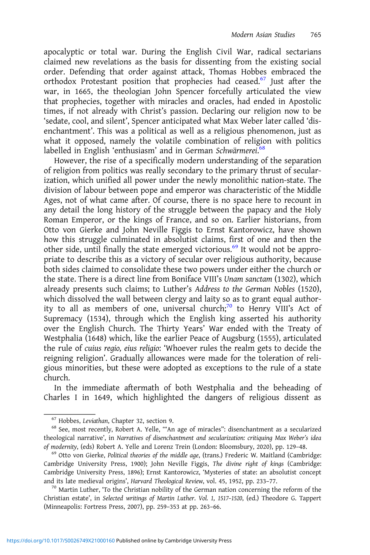apocalyptic or total war. During the English Civil War, radical sectarians claimed new revelations as the basis for dissenting from the existing social order. Defending that order against attack, Thomas Hobbes embraced the orthodox Protestant position that prophecies had ceased.<sup>67</sup> Just after the war, in 1665, the theologian John Spencer forcefully articulated the view that prophecies, together with miracles and oracles, had ended in Apostolic times, if not already with Christ's passion. Declaring our religion now to be 'sedate, cool, and silent', Spencer anticipated what Max Weber later called 'disenchantment'. This was a political as well as a religious phenomenon, just as what it opposed, namely the volatile combination of religion with politics labelled in English 'enthusiasm' and in German Schwärmerei.<sup>68</sup>

However, the rise of a specifically modern understanding of the separation of religion from politics was really secondary to the primary thrust of secularization, which unified all power under the newly monolithic nation-state. The division of labour between pope and emperor was characteristic of the Middle Ages, not of what came after. Of course, there is no space here to recount in any detail the long history of the struggle between the papacy and the Holy Roman Emperor, or the kings of France, and so on. Earlier historians, from Otto von Gierke and John Neville Figgis to Ernst Kantorowicz, have shown how this struggle culminated in absolutist claims, first of one and then the other side, until finally the state emerged victorious.<sup>69</sup> It would not be appropriate to describe this as a victory of secular over religious authority, because both sides claimed to consolidate these two powers under either the church or the state. There is a direct line from Boniface VIII's Unam sanctam (1302), which already presents such claims; to Luther's Address to the German Nobles (1520), which dissolved the wall between clergy and laity so as to grant equal authority to all as members of one, universal church;<sup>70</sup> to Henry VIII's Act of Supremacy (1534), through which the English king asserted his authority over the English Church. The Thirty Years' War ended with the Treaty of Westphalia (1648) which, like the earlier Peace of Augsburg (1555), articulated the rule of cuius regio, eius religio: 'Whoever rules the realm gets to decide the reigning religion'. Gradually allowances were made for the toleration of religious minorities, but these were adopted as exceptions to the rule of a state church.

In the immediate aftermath of both Westphalia and the beheading of Charles I in 1649, which highlighted the dangers of religious dissent as

<sup>&</sup>lt;sup>67</sup> Hobbes, *Leviathan*, Chapter 32, section 9.<br><sup>68</sup> See, most recently, Robert A. Yelle, "An age of miracles": disenchantment as a secularized theological narrative', in Narratives of disenchantment and secularization: critiquing Max Weber's idea of modernity, (eds) Robert A. Yelle and Lorenz Trein (London: Bloomsbury, 2020), pp. 129-48.<br><sup>69</sup> Otto von Gierke, *Political theories of the middle age*, (trans.) Frederic W. Maitland (Cambridge:

Cambridge University Press, 1900); John Neville Figgis, The divine right of kings (Cambridge: Cambridge University Press, 1896); Ernst Kantorowicz, 'Mysteries of state: an absolutist concept and its late medieval origins', Harvard Theological Review, vol. 45, 1952, pp. 233–77.<br><sup>70</sup> Martin Luther, 'To the Christian nobility of the German nation concerning the reform of the

Christian estate', in Selected writings of Martin Luther. Vol. 1, 1517–1520, (ed.) Theodore G. Tappert (Minneapolis: Fortress Press, 2007), pp. 259–353 at pp. 263–66.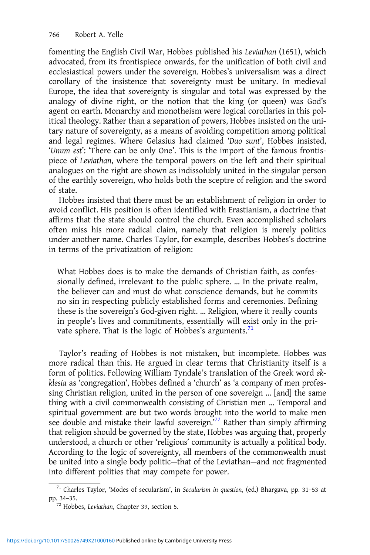fomenting the English Civil War, Hobbes published his Leviathan (1651), which advocated, from its frontispiece onwards, for the unification of both civil and ecclesiastical powers under the sovereign. Hobbes's universalism was a direct corollary of the insistence that sovereignty must be unitary. In medieval Europe, the idea that sovereignty is singular and total was expressed by the analogy of divine right, or the notion that the king (or queen) was God's agent on earth. Monarchy and monotheism were logical corollaries in this political theology. Rather than a separation of powers, Hobbes insisted on the unitary nature of sovereignty, as a means of avoiding competition among political and legal regimes. Where Gelasius had claimed 'Duo sunt', Hobbes insisted, 'Unum est': 'There can be only One'. This is the import of the famous frontispiece of Leviathan, where the temporal powers on the left and their spiritual analogues on the right are shown as indissolubly united in the singular person of the earthly sovereign, who holds both the sceptre of religion and the sword of state.

Hobbes insisted that there must be an establishment of religion in order to avoid conflict. His position is often identified with Erastianism, a doctrine that affirms that the state should control the church. Even accomplished scholars often miss his more radical claim, namely that religion is merely politics under another name. Charles Taylor, for example, describes Hobbes's doctrine in terms of the privatization of religion:

What Hobbes does is to make the demands of Christian faith, as confessionally defined, irrelevant to the public sphere. … In the private realm, the believer can and must do what conscience demands, but he commits no sin in respecting publicly established forms and ceremonies. Defining these is the sovereign's God-given right. … Religion, where it really counts in people's lives and commitments, essentially will exist only in the private sphere. That is the logic of Hobbes's arguments. $71$ 

Taylor's reading of Hobbes is not mistaken, but incomplete. Hobbes was more radical than this. He argued in clear terms that Christianity itself is a form of politics. Following William Tyndale's translation of the Greek word ekklesia as 'congregation', Hobbes defined a 'church' as 'a company of men professing Christian religion, united in the person of one sovereign … [and] the same thing with a civil commonwealth consisting of Christian men … Temporal and spiritual government are but two words brought into the world to make men see double and mistake their lawful sovereign.<sup>72</sup> Rather than simply affirming that religion should be governed by the state, Hobbes was arguing that, properly understood, a church or other 'religious' community is actually a political body. According to the logic of sovereignty, all members of the commonwealth must be united into a single body politic—that of the Leviathan—and not fragmented into different polities that may compete for power.

<sup>71</sup> Charles Taylor, 'Modes of secularism', in Secularism in question, (ed.) Bhargava, pp. 31–53 at pp. 34–35. <sup>72</sup> Hobbes, Leviathan, Chapter 39, section 5.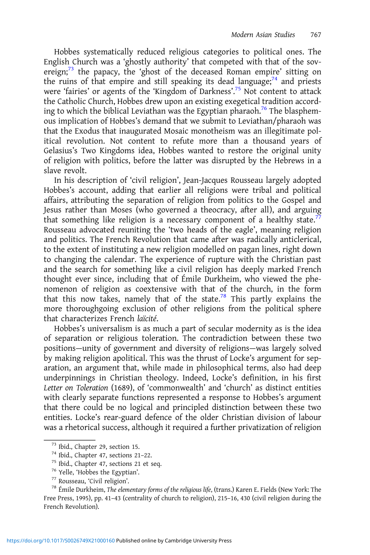Hobbes systematically reduced religious categories to political ones. The English Church was a 'ghostly authority' that competed with that of the sovereign; $73$  the papacy, the 'ghost of the deceased Roman empire' sitting on the ruins of that empire and still speaking its dead language; $74$  and priests were 'fairies' or agents of the 'Kingdom of Darkness'. <sup>75</sup> Not content to attack the Catholic Church, Hobbes drew upon an existing exegetical tradition according to which the biblical Leviathan was the Egyptian pharaoh.<sup>76</sup> The blasphemous implication of Hobbes's demand that we submit to Leviathan/pharaoh was that the Exodus that inaugurated Mosaic monotheism was an illegitimate political revolution. Not content to refute more than a thousand years of Gelasius's Two Kingdoms idea, Hobbes wanted to restore the original unity of religion with politics, before the latter was disrupted by the Hebrews in a slave revolt.

In his description of 'civil religion', Jean-Jacques Rousseau largely adopted Hobbes's account, adding that earlier all religions were tribal and political affairs, attributing the separation of religion from politics to the Gospel and Jesus rather than Moses (who governed a theocracy, after all), and arguing that something like religion is a necessary component of a healthy state.<sup>77</sup> Rousseau advocated reuniting the 'two heads of the eagle', meaning religion and politics. The French Revolution that came after was radically anticlerical, to the extent of instituting a new religion modelled on pagan lines, right down to changing the calendar. The experience of rupture with the Christian past and the search for something like a civil religion has deeply marked French thought ever since, including that of Émile Durkheim, who viewed the phenomenon of religion as coextensive with that of the church, in the form that this now takes, namely that of the state.<sup>78</sup> This partly explains the more thoroughgoing exclusion of other religions from the political sphere that characterizes French laïcité.

Hobbes's universalism is as much a part of secular modernity as is the idea of separation or religious toleration. The contradiction between these two positions—unity of government and diversity of religions—was largely solved by making religion apolitical. This was the thrust of Locke's argument for separation, an argument that, while made in philosophical terms, also had deep underpinnings in Christian theology. Indeed, Locke's definition, in his first Letter on Toleration (1689), of 'commonwealth' and 'church' as distinct entities with clearly separate functions represented a response to Hobbes's argument that there could be no logical and principled distinction between these two entities. Locke's rear-guard defence of the older Christian division of labour was a rhetorical success, although it required a further privatization of religion

<sup>73</sup> Ibid., Chapter 29, section 15.<br><sup>74</sup> Ibid., Chapter 47, sections 21–22.<br><sup>75</sup> Ibid., Chapter 47, sections 21 et seq.<br><sup>76</sup> Yelle, 'Hobbes the Egyptian'.<br><sup>77</sup> Rousseau, 'Civil religion'.<br><sup>78</sup> Émile Durkheim, *The element* Free Press, 1995), pp. 41–43 (centrality of church to religion), 215–16, 430 (civil religion during the French Revolution).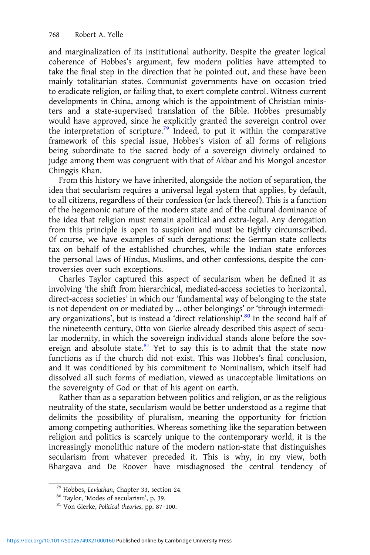and marginalization of its institutional authority. Despite the greater logical coherence of Hobbes's argument, few modern polities have attempted to take the final step in the direction that he pointed out, and these have been mainly totalitarian states. Communist governments have on occasion tried to eradicate religion, or failing that, to exert complete control. Witness current developments in China, among which is the appointment of Christian ministers and a state-supervised translation of the Bible. Hobbes presumably would have approved, since he explicitly granted the sovereign control over the interpretation of scripture.<sup>79</sup> Indeed, to put it within the comparative framework of this special issue, Hobbes's vision of all forms of religions being subordinate to the sacred body of a sovereign divinely ordained to judge among them was congruent with that of Akbar and his Mongol ancestor Chinggis Khan.

From this history we have inherited, alongside the notion of separation, the idea that secularism requires a universal legal system that applies, by default, to all citizens, regardless of their confession (or lack thereof ). This is a function of the hegemonic nature of the modern state and of the cultural dominance of the idea that religion must remain apolitical and extra-legal. Any derogation from this principle is open to suspicion and must be tightly circumscribed. Of course, we have examples of such derogations: the German state collects tax on behalf of the established churches, while the Indian state enforces the personal laws of Hindus, Muslims, and other confessions, despite the controversies over such exceptions.

Charles Taylor captured this aspect of secularism when he defined it as involving 'the shift from hierarchical, mediated-access societies to horizontal, direct-access societies' in which our 'fundamental way of belonging to the state is not dependent on or mediated by … other belongings' or 'through intermediary organizations', but is instead a 'direct relationship'.<sup>80</sup> In the second half of the nineteenth century, Otto von Gierke already described this aspect of secular modernity, in which the sovereign individual stands alone before the sovereign and absolute state.<sup>81</sup> Yet to say this is to admit that the state now functions as if the church did not exist. This was Hobbes's final conclusion, and it was conditioned by his commitment to Nominalism, which itself had dissolved all such forms of mediation, viewed as unacceptable limitations on the sovereignty of God or that of his agent on earth.

Rather than as a separation between politics and religion, or as the religious neutrality of the state, secularism would be better understood as a regime that delimits the possibility of pluralism, meaning the opportunity for friction among competing authorities. Whereas something like the separation between religion and politics is scarcely unique to the contemporary world, it is the increasingly monolithic nature of the modern nation-state that distinguishes secularism from whatever preceded it. This is why, in my view, both Bhargava and De Roover have misdiagnosed the central tendency of

<sup>&</sup>lt;sup>79</sup> Hobbes, *Leviathan*, Chapter 33, section 24.<br><sup>80</sup> Taylor, 'Modes of secularism', p. 39.<br><sup>81</sup> Von Gierke, *Political theories*, pp. 87–100.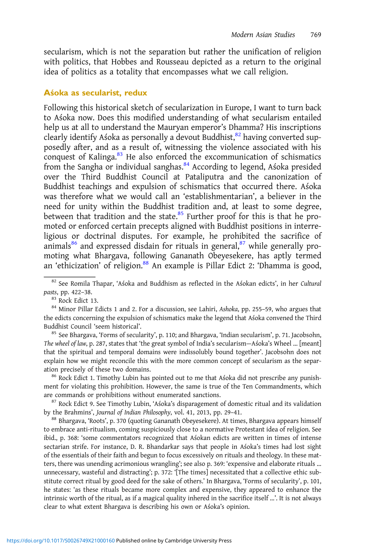secularism, which is not the separation but rather the unification of religion with politics, that Hobbes and Rousseau depicted as a return to the original idea of politics as a totality that encompasses what we call religion.

#### Aśoka as secularist, redux

Following this historical sketch of secularization in Europe, I want to turn back to Aśoka now. Does this modified understanding of what secularism entailed help us at all to understand the Mauryan emperor's Dhamma? His inscriptions clearly identify Aśoka as personally a devout Buddhist,<sup>82</sup> having converted supposedly after, and as a result of, witnessing the violence associated with his conquest of Kalinga. $83$  He also enforced the excommunication of schismatics from the Sangha or individual sanghas.<sup>84</sup> According to legend, Aśoka presided over the Third Buddhist Council at Pataliputra and the canonization of Buddhist teachings and expulsion of schismatics that occurred there. Aśoka was therefore what we would call an 'establishmentarian', a believer in the need for unity within the Buddhist tradition and, at least to some degree, between that tradition and the state.<sup>85</sup> Further proof for this is that he promoted or enforced certain precepts aligned with Buddhist positions in interreligious or doctrinal disputes. For example, he prohibited the sacrifice of animals $86$  and expressed disdain for rituals in general, $87$  while generally promoting what Bhargava, following Gananath Obeyesekere, has aptly termed an 'ethicization' of religion.<sup>88</sup> An example is Pillar Edict 2: 'Dhamma is good,

<sup>85</sup> See Bhargava, 'Forms of secularity', p. 110; and Bhargava, 'Indian secularism', p. 71. Jacobsohn, The wheel of law, p. 287, states that 'the great symbol of India's secularism—Aśoka's Wheel … [meant] that the spiritual and temporal domains were indissolubly bound together'. Jacobsohn does not explain how we might reconcile this with the more common concept of secularism as the separation precisely of these two domains.<br><sup>86</sup> Rock Edict 1. Timothy Lubin has pointed out to me that Aśoka did not prescribe any punish-

ment for violating this prohibition. However, the same is true of the Ten Commandments, which are commands or prohibitions without enumerated sanctions.<br><sup>87</sup> Rock Edict 9. See Timothy Lubin, 'Aśoka's disparagement of domestic ritual and its validation

by the Brahmins', Journal of Indian Philosophy, vol. 41, 2013, pp. 29-41.<br><sup>88</sup> Bhargava, 'Roots', p. 370 (quoting Gananath Obeyesekere). At times, Bhargava appears himself

to embrace anti-ritualism, coming suspiciously close to a normative Protestant idea of religion. See ibid., p. 368: 'some commentators recognized that Aśokan edicts are written in times of intense sectarian strife. For instance, D. R. Bhandarkar says that people in Aśoka's times had lost sight of the essentials of their faith and begun to focus excessively on rituals and theology. In these matters, there was unending acrimonious wrangling'; see also p. 369: 'expensive and elaborate rituals … unnecessary, wasteful and distracting'; p. 372: '[The times] necessitated that a collective ethic substitute correct ritual by good deed for the sake of others.' In Bhargava, 'Forms of secularity', p. 101, he states: 'as these rituals became more complex and expensive, they appeared to enhance the intrinsic worth of the ritual, as if a magical quality inhered in the sacrifice itself …'. It is not always clear to what extent Bhargava is describing his own or Aśoka's opinion.

<sup>82</sup> See Romila Thapar, 'Aśoka and Buddhism as reflected in the Aśokan edicts', in her Cultural pasts, pp. 422-38.<br><sup>83</sup> Rock Edict 13.<br><sup>84</sup> Minor Pillar Edicts 1 and 2. For a discussion, see Lahiri, Ashoka, pp. 255-59, who argues that

the edicts concerning the expulsion of schismatics make the legend that Aśoka convened the Third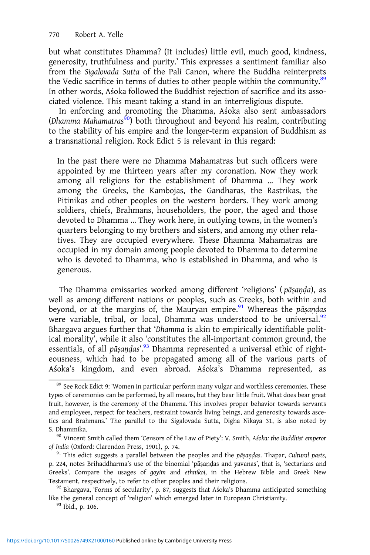but what constitutes Dhamma? (It includes) little evil, much good, kindness, generosity, truthfulness and purity.' This expresses a sentiment familiar also from the Sigalovada Sutta of the Pali Canon, where the Buddha reinterprets the Vedic sacrifice in terms of duties to other people within the community.<sup>89</sup> In other words, Aśoka followed the Buddhist rejection of sacrifice and its associated violence. This meant taking a stand in an interreligious dispute.

In enforcing and promoting the Dhamma, Aśoka also sent ambassadors (Dhamma Mahamatras<sup>90</sup>) both throughout and beyond his realm, contributing to the stability of his empire and the longer-term expansion of Buddhism as a transnational religion. Rock Edict 5 is relevant in this regard:

In the past there were no Dhamma Mahamatras but such officers were appointed by me thirteen years after my coronation. Now they work among all religions for the establishment of Dhamma … They work among the Greeks, the Kambojas, the Gandharas, the Rastrikas, the Pitinikas and other peoples on the western borders. They work among soldiers, chiefs, Brahmans, householders, the poor, the aged and those devoted to Dhamma … They work here, in outlying towns, in the women's quarters belonging to my brothers and sisters, and among my other relatives. They are occupied everywhere. These Dhamma Mahamatras are occupied in my domain among people devoted to Dhamma to determine who is devoted to Dhamma, who is established in Dhamma, and who is generous.

The Dhamma emissaries worked among different 'religions' ( pāṣaṇḍa), as well as among different nations or peoples, such as Greeks, both within and beyond, or at the margins of, the Mauryan empire.<sup>91</sup> Whereas the pāṣaṇḍas were variable, tribal, or local, Dhamma was understood to be universal.<sup>92</sup> Bhargava argues further that 'Dhamma is akin to empirically identifiable political morality', while it also 'constitutes the all-important common ground, the essentials, of all pāṣaṇḍas'.<sup>93</sup> Dhamma represented a universal ethic of righteousness, which had to be propagated among all of the various parts of Aśoka's kingdom, and even abroad. Aśoka's Dhamma represented, as

 $89$  See Rock Edict 9: 'Women in particular perform many vulgar and worthless ceremonies. These types of ceremonies can be performed, by all means, but they bear little fruit. What does bear great fruit, however, is the ceremony of the Dhamma. This involves proper behavior towards servants and employees, respect for teachers, restraint towards living beings, and generosity towards ascetics and Brahmans.' The parallel to the Sigalovada Sutta, Digha Nikaya 31, is also noted by

S. Dhammika.<br><sup>90</sup> Vincent Smith called them 'Censors of the Law of Piety': V. Smith, Aśoka: the Buddhist emperor of India (Oxford: Clarendon Press, 1901), p. 74.<br><sup>91</sup> This edict suggests a parallel between the peoples and the pāṣaṇḍas. Thapar, Cultural pasts,

p. 224, notes Brihaddharma's use of the binomial 'pāṣaṇḍas and yavanas', that is, 'sectarians and Greeks'. Compare the usages of goyim and ethnikoi, in the Hebrew Bible and Greek New Testament, respectively, to refer to other peoples and their religions. <sup>92</sup> Bhargava, 'Forms of secularity', p. 87, suggests that Aśoka's Dhamma anticipated something

like the general concept of 'religion' which emerged later in European Christianity.  $\frac{93}{}$  Ibid., p. 106.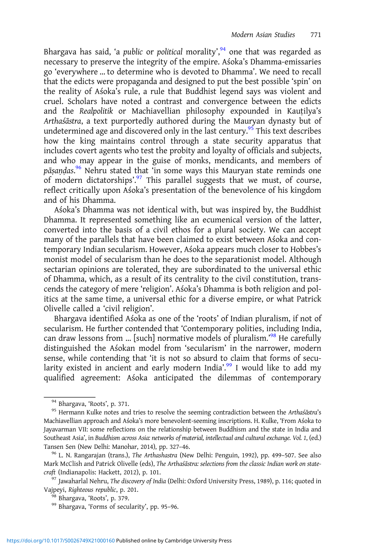Bhargava has said, 'a *public* or *political morality',<sup>94</sup> one that was regarded as* necessary to preserve the integrity of the empire. Aśoka's Dhamma-emissaries go 'everywhere … to determine who is devoted to Dhamma'. We need to recall that the edicts were propaganda and designed to put the best possible 'spin' on the reality of Aśoka's rule, a rule that Buddhist legend says was violent and cruel. Scholars have noted a contrast and convergence between the edicts and the Realpolitik or Machiavellian philosophy expounded in Kauṭilya's Arthaśāstra, a text purportedly authored during the Mauryan dynasty but of undetermined age and discovered only in the last century.<sup>95</sup> This text describes how the king maintains control through a state security apparatus that includes covert agents who test the probity and loyalty of officials and subjects, and who may appear in the guise of monks, mendicants, and members of pāṣaṇḍas. <sup>96</sup> Nehru stated that 'in some ways this Mauryan state reminds one of modern dictatorships'.<sup>97</sup> This parallel suggests that we must, of course, reflect critically upon Aśoka's presentation of the benevolence of his kingdom and of his Dhamma.

Aśoka's Dhamma was not identical with, but was inspired by, the Buddhist Dhamma. It represented something like an ecumenical version of the latter, converted into the basis of a civil ethos for a plural society. We can accept many of the parallels that have been claimed to exist between Aśoka and contemporary Indian secularism. However, Aśoka appears much closer to Hobbes's monist model of secularism than he does to the separationist model. Although sectarian opinions are tolerated, they are subordinated to the universal ethic of Dhamma, which, as a result of its centrality to the civil constitution, transcends the category of mere 'religion'. Aśoka's Dhamma is both religion and politics at the same time, a universal ethic for a diverse empire, or what Patrick Olivelle called a 'civil religion'.

Bhargava identified Aśoka as one of the 'roots' of Indian pluralism, if not of secularism. He further contended that 'Contemporary polities, including India, can draw lessons from ... [such] normative models of pluralism.'<sup>98</sup> He carefully distinguished the Aśokan model from 'secularism' in the narrower, modern sense, while contending that 'it is not so absurd to claim that forms of secularity existed in ancient and early modern India'.<sup>99</sup> I would like to add my qualified agreement: Aśoka anticipated the dilemmas of contemporary

<sup>&</sup>lt;sup>94</sup> Bhargava, 'Roots', p. 371.<br><sup>95</sup> Hermann Kulke notes and tries to resolve the seeming contradiction between the Arthaśāstra's Machiavellian approach and Aśoka's more benevolent-seeming inscriptions. H. Kulke, 'From Aśoka to Jayavarman VII: some reflections on the relationship between Buddhism and the state in India and Southeast Asia', in Buddhism across Asia: networks of material, intellectual and cultural exchange. Vol. 1, (ed.) Tansen Sen (New Delhi: Manohar, 2014), pp. 327–46.<br><sup>96</sup> L. N. Rangarajan (trans.), *The Arthashastra* (New Delhi: Penguin, 1992), pp. 499–507. See also

Mark McClish and Patrick Olivelle (eds), The Arthaśāstra: selections from the classic Indian work on statecraft (Indianapolis: Hackett, 2012), p. 101.<br><sup>97</sup> Jawaharlal Nehru, *The discovery of India* (Delhi: Oxford University Press, 1989), p. 116; quoted in

Vajpeyi, Righteous republic, p. 201.<br><sup>98</sup> Bhargava, 'Roots', p. 379.<br><sup>99</sup> Bhargava, 'Forms of secularity', pp. 95-96.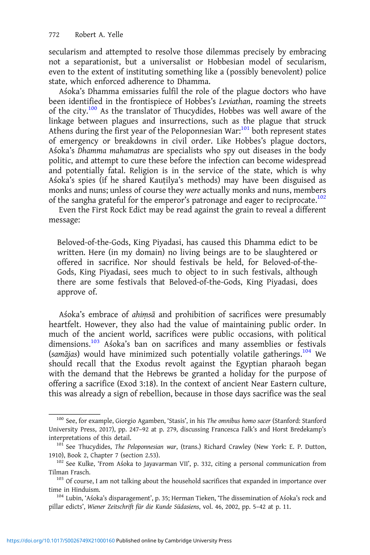secularism and attempted to resolve those dilemmas precisely by embracing not a separationist, but a universalist or Hobbesian model of secularism, even to the extent of instituting something like a (possibly benevolent) police state, which enforced adherence to Dhamma.

Aśoka's Dhamma emissaries fulfil the role of the plague doctors who have been identified in the frontispiece of Hobbes's Leviathan, roaming the streets of the city.100 As the translator of Thucydides, Hobbes was well aware of the linkage between plagues and insurrections, such as the plague that struck Athens during the first year of the Peloponnesian War: $101$  both represent states of emergency or breakdowns in civil order. Like Hobbes's plague doctors, Aśoka's Dhamma mahamatras are specialists who spy out diseases in the body politic, and attempt to cure these before the infection can become widespread and potentially fatal. Religion is in the service of the state, which is why Aśoka's spies (if he shared Kauṭilya's methods) may have been disguised as monks and nuns; unless of course they were actually monks and nuns, members of the sangha grateful for the emperor's patronage and eager to reciprocate.<sup>102</sup>

Even the First Rock Edict may be read against the grain to reveal a different message:

Beloved-of-the-Gods, King Piyadasi, has caused this Dhamma edict to be written. Here (in my domain) no living beings are to be slaughtered or offered in sacrifice. Nor should festivals be held, for Beloved-of-the-Gods, King Piyadasi, sees much to object to in such festivals, although there are some festivals that Beloved-of-the-Gods, King Piyadasi, does approve of.

Aśoka's embrace of ahiṃsā and prohibition of sacrifices were presumably heartfelt. However, they also had the value of maintaining public order. In much of the ancient world, sacrifices were public occasions, with political dimensions.<sup>103</sup> Aśoka's ban on sacrifices and many assemblies or festivals (samājas) would have minimized such potentially volatile gatherings.<sup>104</sup> We should recall that the Exodus revolt against the Egyptian pharaoh began with the demand that the Hebrews be granted a holiday for the purpose of offering a sacrifice (Exod 3:18). In the context of ancient Near Eastern culture, this was already a sign of rebellion, because in those days sacrifice was the seal

<sup>100</sup> See, for example, Giorgio Agamben, 'Stasis', in his The omnibus homo sacer (Stanford: Stanford University Press, 2017), pp. 247–92 at p. 279, discussing Francesca Falk's and Horst Bredekamp's interpretations of this detail.<br><sup>101</sup> See Thucydides, *The Peloponnesian war*, (trans.) Richard Crawley (New York: E. P. Dutton,

<sup>1910),</sup> Book 2, Chapter 7 (section 2.53). <sup>102</sup> See Kulke, 'From Aśoka to Jayavarman VII', p. 332, citing a personal communication from

Tilman Frasch. 103 Of course, I am not talking about the household sacrifices that expanded in importance over

time in Hinduism.<br><sup>104</sup> Lubin, 'Aśoka's disparagement', p. 35; Herman Tieken, 'The dissemination of Aśoka's rock and

pillar edicts', Wiener Zeitschrift für die Kunde Südasiens, vol. 46, 2002, pp. 5–42 at p. 11.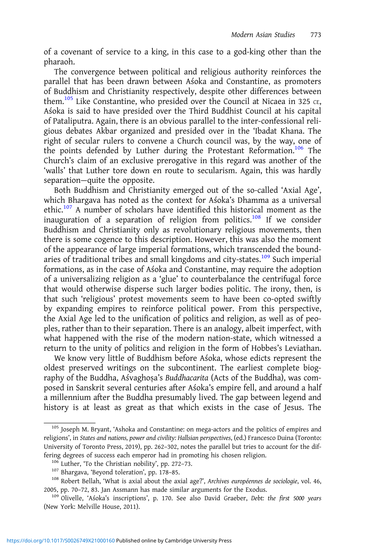of a covenant of service to a king, in this case to a god-king other than the pharaoh.

The convergence between political and religious authority reinforces the parallel that has been drawn between Aśoka and Constantine, as promoters of Buddhism and Christianity respectively, despite other differences between them.<sup>105</sup> Like Constantine, who presided over the Council at Nicaea in 325  $c$ <sub>E</sub>, Aśoka is said to have presided over the Third Buddhist Council at his capital of Pataliputra. Again, there is an obvious parallel to the inter-confessional religious debates Akbar organized and presided over in the 'Ibadat Khana. The right of secular rulers to convene a Church council was, by the way, one of the points defended by Luther during the Protestant Reformation.<sup>106</sup> The Church's claim of an exclusive prerogative in this regard was another of the 'walls' that Luther tore down en route to secularism. Again, this was hardly separation—quite the opposite.

Both Buddhism and Christianity emerged out of the so-called 'Axial Age', which Bhargava has noted as the context for Aśoka's Dhamma as a universal ethic.<sup>107</sup> A number of scholars have identified this historical moment as the inauguration of a separation of religion from politics.<sup>108</sup> If we consider Buddhism and Christianity only as revolutionary religious movements, then there is some cogence to this description. However, this was also the moment of the appearance of large imperial formations, which transcended the boundaries of traditional tribes and small kingdoms and city-states.<sup>109</sup> Such imperial formations, as in the case of Aśoka and Constantine, may require the adoption of a universalizing religion as a 'glue' to counterbalance the centrifugal force that would otherwise disperse such larger bodies politic. The irony, then, is that such 'religious' protest movements seem to have been co-opted swiftly by expanding empires to reinforce political power. From this perspective, the Axial Age led to the unification of politics and religion, as well as of peoples, rather than to their separation. There is an analogy, albeit imperfect, with what happened with the rise of the modern nation-state, which witnessed a return to the unity of politics and religion in the form of Hobbes's Leviathan.

We know very little of Buddhism before Aśoka, whose edicts represent the oldest preserved writings on the subcontinent. The earliest complete biography of the Buddha, Aśvaghosa's Buddhacarita (Acts of the Buddha), was composed in Sanskrit several centuries after Aśoka's empire fell, and around a half a millennium after the Buddha presumably lived. The gap between legend and history is at least as great as that which exists in the case of Jesus. The

<sup>105</sup> Joseph M. Bryant, 'Ashoka and Constantine: on mega-actors and the politics of empires and religions', in States and nations, power and civility: Hallsian perspectives, (ed.) Francesco Duina (Toronto: University of Toronto Press, 2019), pp. 262–302, notes the parallel but tries to account for the dif-

<sup>%</sup> fering degrees of success each emperor had in promoting his chosen religion.<br><sup>106</sup> Luther, 'To the Christian nobility', pp. 272–73.<br><sup>107</sup> Bhargava, 'Beyond toleration', pp. 178–85.<br><sup>107</sup> Robert Bellah, 'What is axial ab 2005, pp. 70–72, 83. Jan Assmann has made similar arguments for the Exodus. <sup>109</sup> Olivelle, 'Aśoka's inscriptions', p. 170. See also David Graeber, Debt: the first 5000 years

<sup>(</sup>New York: Melville House, 2011).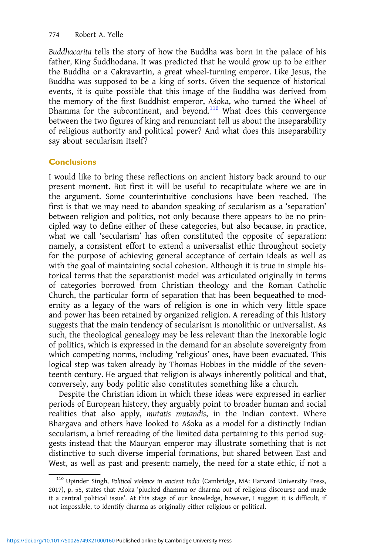Buddhacarita tells the story of how the Buddha was born in the palace of his father, King Śuddhodana. It was predicted that he would grow up to be either the Buddha or a Cakravartin, a great wheel-turning emperor. Like Jesus, the Buddha was supposed to be a king of sorts. Given the sequence of historical events, it is quite possible that this image of the Buddha was derived from the memory of the first Buddhist emperor, Aśoka, who turned the Wheel of Dhamma for the subcontinent, and beyond.<sup>110</sup> What does this convergence between the two figures of king and renunciant tell us about the inseparability of religious authority and political power? And what does this inseparability say about secularism itself?

## **Conclusions**

I would like to bring these reflections on ancient history back around to our present moment. But first it will be useful to recapitulate where we are in the argument. Some counterintuitive conclusions have been reached. The first is that we may need to abandon speaking of secularism as a 'separation' between religion and politics, not only because there appears to be no principled way to define either of these categories, but also because, in practice, what we call 'secularism' has often constituted the opposite of separation: namely, a consistent effort to extend a universalist ethic throughout society for the purpose of achieving general acceptance of certain ideals as well as with the goal of maintaining social cohesion. Although it is true in simple historical terms that the separationist model was articulated originally in terms of categories borrowed from Christian theology and the Roman Catholic Church, the particular form of separation that has been bequeathed to modernity as a legacy of the wars of religion is one in which very little space and power has been retained by organized religion. A rereading of this history suggests that the main tendency of secularism is monolithic or universalist. As such, the theological genealogy may be less relevant than the inexorable logic of politics, which is expressed in the demand for an absolute sovereignty from which competing norms, including 'religious' ones, have been evacuated. This logical step was taken already by Thomas Hobbes in the middle of the seventeenth century. He argued that religion is always inherently political and that, conversely, any body politic also constitutes something like a church.

Despite the Christian idiom in which these ideas were expressed in earlier periods of European history, they arguably point to broader human and social realities that also apply, mutatis mutandis, in the Indian context. Where Bhargava and others have looked to Aśoka as a model for a distinctly Indian secularism, a brief rereading of the limited data pertaining to this period suggests instead that the Mauryan emperor may illustrate something that is not distinctive to such diverse imperial formations, but shared between East and West, as well as past and present: namely, the need for a state ethic, if not a

<sup>110</sup> Upinder Singh, Political violence in ancient India (Cambridge, MA: Harvard University Press, 2017), p. 55, states that Aśoka 'plucked dhamma or dharma out of religious discourse and made it a central political issue'. At this stage of our knowledge, however, I suggest it is difficult, if not impossible, to identify dharma as originally either religious or political.